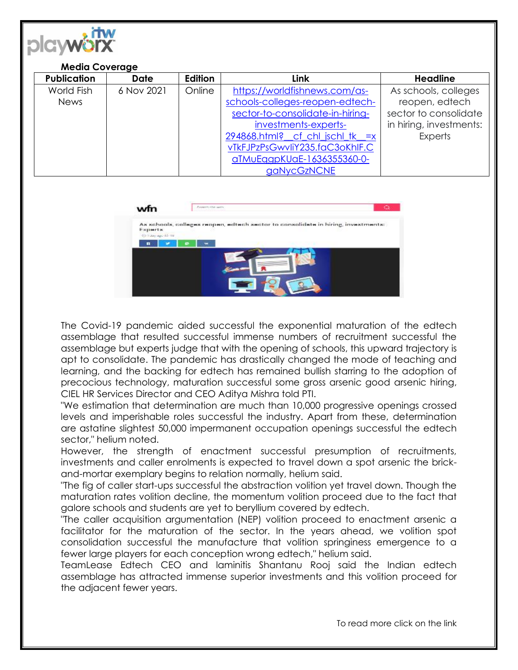

## **Media Coverage**

| <b>Publication</b> | <b>Date</b> | Edition | Link                             | <b>Headline</b>         |
|--------------------|-------------|---------|----------------------------------|-------------------------|
| World Fish         | 6 Nov 2021  | Online  | https://worldfishnews.com/as-    | As schools, colleges    |
| <b>News</b>        |             |         | schools-colleges-reopen-edtech-  | reopen, edtech          |
|                    |             |         | sector-to-consolidate-in-hiring- | sector to consolidate   |
|                    |             |         | investments-experts-             | in hiring, investments: |
|                    |             |         | 294868.html?_cf_chl_jschl_tk_=x  | <b>Experts</b>          |
|                    |             |         | vTkFJPzPsGwvIiY235.faC3oKhIF.C   |                         |
|                    |             |         | aTMuEggpKUaE-1636355360-0-       |                         |
|                    |             |         | gaNycGzNCNE                      |                         |

| wfn                                   | <b>Connects shot works</b><br>o                                                   |
|---------------------------------------|-----------------------------------------------------------------------------------|
| <b>Experts</b><br>45 Fully ago did my | As schools, colleges reopen, edtech sector to consolidate in hiring, investments: |
| п                                     |                                                                                   |
|                                       |                                                                                   |
|                                       |                                                                                   |
|                                       |                                                                                   |

The Covid-19 pandemic aided successful the exponential maturation of the edtech assemblage that resulted successful immense numbers of recruitment successful the assemblage but experts judge that with the opening of schools, this upward trajectory is apt to consolidate. The pandemic has drastically changed the mode of teaching and learning, and the backing for edtech has remained bullish starring to the adoption of precocious technology, maturation successful some gross arsenic good arsenic hiring, CIEL HR Services Director and CEO Aditya Mishra told PTI.

"We estimation that determination are much than 10,000 progressive openings crossed levels and imperishable roles successful the industry. Apart from these, determination are astatine slightest 50,000 impermanent occupation openings successful the edtech sector," helium noted.

However, the strength of enactment successful presumption of recruitments, investments and caller enrolments is expected to travel down a spot arsenic the brickand-mortar exemplary begins to relation normally, helium said.

"The fig of caller start-ups successful the abstraction volition yet travel down. Though the maturation rates volition decline, the momentum volition proceed due to the fact that galore schools and students are yet to beryllium covered by edtech.

"The caller acquisition argumentation (NEP) volition proceed to enactment arsenic a facilitator for the maturation of the sector. In the years ahead, we volition spot consolidation successful the manufacture that volition springiness emergence to a fewer large players for each conception wrong edtech," helium said.

TeamLease Edtech CEO and laminitis Shantanu Rooj said the Indian edtech assemblage has attracted immense superior investments and this volition proceed for the adjacent fewer years.

To read more click on the link